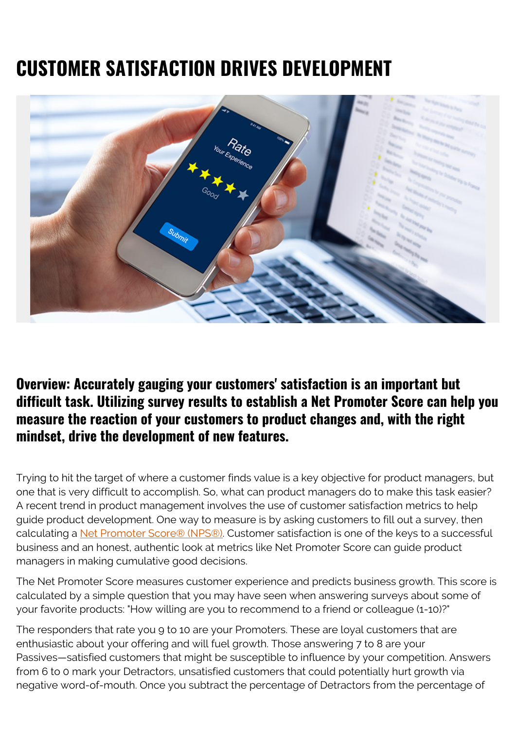## **CUSTOMER SATISFACTION DRIVES DEVELOPMENT**



## **Overview: Accurately gauging your customers' satisfaction is an important but difficult task. Utilizing survey results to establish a Net Promoter Score can help you measure the reaction of your customers to product changes and, with the right mindset, drive the development of new features.**

Trying to hit the target of where a customer finds value is a key objective for product managers, but one that is very difficult to accomplish. So, what can product managers do to make this task easier? A recent trend in product management involves the use of customer satisfaction metrics to help guide product development. One way to measure is by asking customers to fill out a survey, then calculating a [Net Promoter Score® \(NPS®\).](https://web.archive.org/web/20201123170001/https://www.netpromoter.com/know/) Customer satisfaction is one of the keys to a successful business and an honest, authentic look at metrics like Net Promoter Score can guide product managers in making cumulative good decisions.

The Net Promoter Score measures customer experience and predicts business growth. This score is calculated by a simple question that you may have seen when answering surveys about some of your favorite products: "How willing are you to recommend to a friend or colleague (1-10)?"

The responders that rate you 9 to 10 are your Promoters. These are loyal customers that are enthusiastic about your offering and will fuel growth. Those answering 7 to 8 are your Passives—satisfied customers that might be susceptible to influence by your competition. Answers from 6 to 0 mark your Detractors, unsatisfied customers that could potentially hurt growth via negative word-of-mouth. Once you subtract the percentage of Detractors from the percentage of